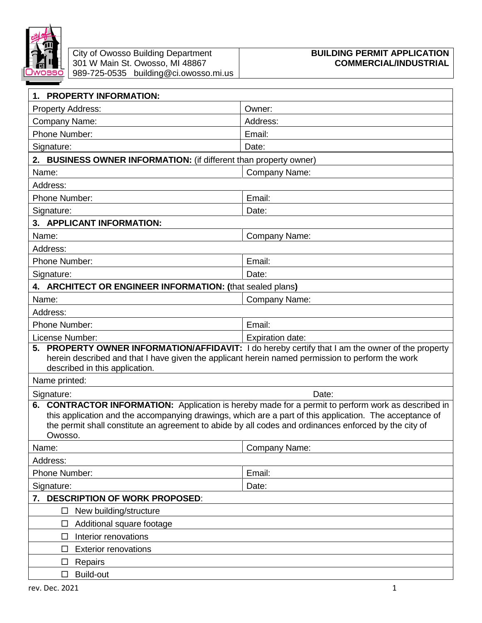

|                                                                                                                                    | City of Owosso Building Department                                       | <b>BUILDING PERMIT APPLICATION</b> |
|------------------------------------------------------------------------------------------------------------------------------------|--------------------------------------------------------------------------|------------------------------------|
| JWOSSO                                                                                                                             | 301 W Main St. Owosso, MI 48867<br>989-725-0535 building@ci.owosso.mi.us | <b>COMMERCIAL/INDUSTRIAL</b>       |
|                                                                                                                                    |                                                                          |                                    |
| 1. PROPERTY INFORMATION:                                                                                                           |                                                                          |                                    |
| <b>Property Address:</b>                                                                                                           |                                                                          | Owner:                             |
| Company Name:                                                                                                                      |                                                                          | Address:                           |
| Phone Number:                                                                                                                      |                                                                          | Email:                             |
| Signature:                                                                                                                         |                                                                          | Date:                              |
| 2. BUSINESS OWNER INFORMATION: (if different than property owner)                                                                  |                                                                          |                                    |
| Name:                                                                                                                              |                                                                          | Company Name:                      |
| Address:                                                                                                                           |                                                                          |                                    |
| Phone Number:                                                                                                                      |                                                                          | Email:                             |
| Signature:                                                                                                                         |                                                                          | Date:                              |
| 3. APPLICANT INFORMATION:                                                                                                          |                                                                          |                                    |
| Name:                                                                                                                              |                                                                          | Company Name:                      |
| Address:                                                                                                                           |                                                                          |                                    |
| Phone Number:                                                                                                                      |                                                                          | Email:                             |
| Signature:                                                                                                                         |                                                                          | Date:                              |
| 4. ARCHITECT OR ENGINEER INFORMATION: (that sealed plans)                                                                          |                                                                          |                                    |
| Name:                                                                                                                              |                                                                          | Company Name:                      |
| Address:                                                                                                                           |                                                                          |                                    |
| <b>Phone Number:</b>                                                                                                               |                                                                          | Email:                             |
| License Number:<br><b>Expiration date:</b>                                                                                         |                                                                          |                                    |
| 5. PROPERTY OWNER INFORMATION/AFFIDAVIT: I do hereby certify that I am the owner of the property                                   |                                                                          |                                    |
| herein described and that I have given the applicant herein named permission to perform the work<br>described in this application. |                                                                          |                                    |
| Name printed:                                                                                                                      |                                                                          |                                    |
| Signature:<br>Date:                                                                                                                |                                                                          |                                    |
| <b>CONTRACTOR INFORMATION:</b> Application is hereby made for a permit to perform work as described in<br>6.                       |                                                                          |                                    |
| this application and the accompanying drawings, which are a part of this application. The acceptance of                            |                                                                          |                                    |
| the permit shall constitute an agreement to abide by all codes and ordinances enforced by the city of                              |                                                                          |                                    |
| Owosso.                                                                                                                            |                                                                          |                                    |
| Name:                                                                                                                              |                                                                          | <b>Company Name:</b>               |
| Address:                                                                                                                           |                                                                          |                                    |
| Phone Number:                                                                                                                      |                                                                          | Email:                             |
| Signature:<br>Date:                                                                                                                |                                                                          |                                    |
| 7. DESCRIPTION OF WORK PROPOSED:<br>New building/structure<br>□                                                                    |                                                                          |                                    |
| Additional square footage<br>$\Box$                                                                                                |                                                                          |                                    |
| Interior renovations                                                                                                               |                                                                          |                                    |
| $\Box$<br><b>Exterior renovations</b><br>$\Box$                                                                                    |                                                                          |                                    |
| Repairs<br>□                                                                                                                       |                                                                          |                                    |
| Build-out<br>□                                                                                                                     |                                                                          |                                    |
|                                                                                                                                    |                                                                          |                                    |